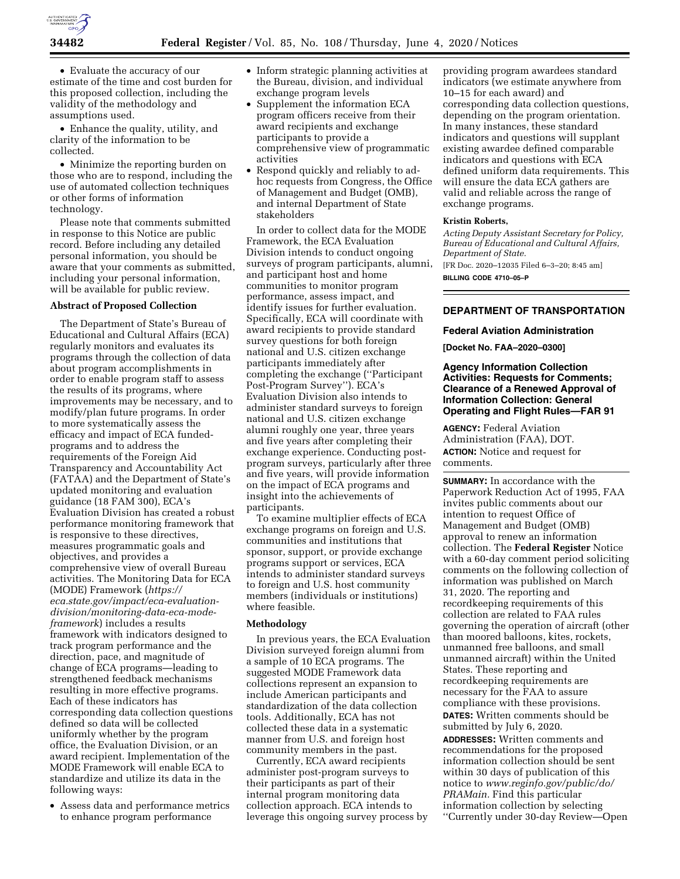

• Evaluate the accuracy of our estimate of the time and cost burden for this proposed collection, including the validity of the methodology and assumptions used.

• Enhance the quality, utility, and clarity of the information to be collected.

• Minimize the reporting burden on those who are to respond, including the use of automated collection techniques or other forms of information technology.

Please note that comments submitted in response to this Notice are public record. Before including any detailed personal information, you should be aware that your comments as submitted, including your personal information, will be available for public review.

# **Abstract of Proposed Collection**

The Department of State's Bureau of Educational and Cultural Affairs (ECA) regularly monitors and evaluates its programs through the collection of data about program accomplishments in order to enable program staff to assess the results of its programs, where improvements may be necessary, and to modify/plan future programs. In order to more systematically assess the efficacy and impact of ECA fundedprograms and to address the requirements of the Foreign Aid Transparency and Accountability Act (FATAA) and the Department of State's updated monitoring and evaluation guidance (18 FAM 300), ECA's Evaluation Division has created a robust performance monitoring framework that is responsive to these directives, measures programmatic goals and objectives, and provides a comprehensive view of overall Bureau activities. The Monitoring Data for ECA (MODE) Framework (*[https://](https://eca.state.gov/impact/eca-evaluation-division/monitoring-data-eca-mode-framework) [eca.state.gov/impact/eca-evaluation](https://eca.state.gov/impact/eca-evaluation-division/monitoring-data-eca-mode-framework)division/monitoring-data-eca-mode[framework](https://eca.state.gov/impact/eca-evaluation-division/monitoring-data-eca-mode-framework)*) includes a results framework with indicators designed to track program performance and the direction, pace, and magnitude of change of ECA programs—leading to strengthened feedback mechanisms resulting in more effective programs. Each of these indicators has corresponding data collection questions defined so data will be collected uniformly whether by the program office, the Evaluation Division, or an award recipient. Implementation of the MODE Framework will enable ECA to standardize and utilize its data in the following ways:

• Assess data and performance metrics to enhance program performance

- Inform strategic planning activities at the Bureau, division, and individual exchange program levels
- Supplement the information ECA program officers receive from their award recipients and exchange participants to provide a comprehensive view of programmatic activities
- Respond quickly and reliably to adhoc requests from Congress, the Office of Management and Budget (OMB), and internal Department of State stakeholders

In order to collect data for the MODE Framework, the ECA Evaluation Division intends to conduct ongoing surveys of program participants, alumni, and participant host and home communities to monitor program performance, assess impact, and identify issues for further evaluation. Specifically, ECA will coordinate with award recipients to provide standard survey questions for both foreign national and U.S. citizen exchange participants immediately after completing the exchange (''Participant Post-Program Survey''). ECA's Evaluation Division also intends to administer standard surveys to foreign national and U.S. citizen exchange alumni roughly one year, three years and five years after completing their exchange experience. Conducting postprogram surveys, particularly after three and five years, will provide information on the impact of ECA programs and insight into the achievements of participants.

To examine multiplier effects of ECA exchange programs on foreign and U.S. communities and institutions that sponsor, support, or provide exchange programs support or services, ECA intends to administer standard surveys to foreign and U.S. host community members (individuals or institutions) where feasible.

### **Methodology**

In previous years, the ECA Evaluation Division surveyed foreign alumni from a sample of 10 ECA programs. The suggested MODE Framework data collections represent an expansion to include American participants and standardization of the data collection tools. Additionally, ECA has not collected these data in a systematic manner from U.S. and foreign host community members in the past.

Currently, ECA award recipients administer post-program surveys to their participants as part of their internal program monitoring data collection approach. ECA intends to leverage this ongoing survey process by

providing program awardees standard indicators (we estimate anywhere from 10–15 for each award) and corresponding data collection questions, depending on the program orientation. In many instances, these standard indicators and questions will supplant existing awardee defined comparable indicators and questions with ECA defined uniform data requirements. This will ensure the data ECA gathers are valid and reliable across the range of exchange programs.

### **Kristin Roberts,**

*Acting Deputy Assistant Secretary for Policy, Bureau of Educational and Cultural Affairs, Department of State.*  [FR Doc. 2020–12035 Filed 6–3–20; 8:45 am] **BILLING CODE 4710–05–P** 

# **DEPARTMENT OF TRANSPORTATION**

### **Federal Aviation Administration**

**[Docket No. FAA–2020–0300]** 

# **Agency Information Collection Activities: Requests for Comments; Clearance of a Renewed Approval of Information Collection: General Operating and Flight Rules—FAR 91**

**AGENCY:** Federal Aviation Administration (FAA), DOT. **ACTION:** Notice and request for comments.

**SUMMARY:** In accordance with the Paperwork Reduction Act of 1995, FAA invites public comments about our intention to request Office of Management and Budget (OMB) approval to renew an information collection. The **Federal Register** Notice with a 60-day comment period soliciting comments on the following collection of information was published on March 31, 2020. The reporting and recordkeeping requirements of this collection are related to FAA rules governing the operation of aircraft (other than moored balloons, kites, rockets, unmanned free balloons, and small unmanned aircraft) within the United States. These reporting and recordkeeping requirements are necessary for the FAA to assure compliance with these provisions. **DATES:** Written comments should be submitted by July 6, 2020.

**ADDRESSES:** Written comments and recommendations for the proposed information collection should be sent within 30 days of publication of this notice to *[www.reginfo.gov/public/do/](http://www.reginfo.gov/public/do/PRAMain) [PRAMain.](http://www.reginfo.gov/public/do/PRAMain)* Find this particular information collection by selecting ''Currently under 30-day Review—Open